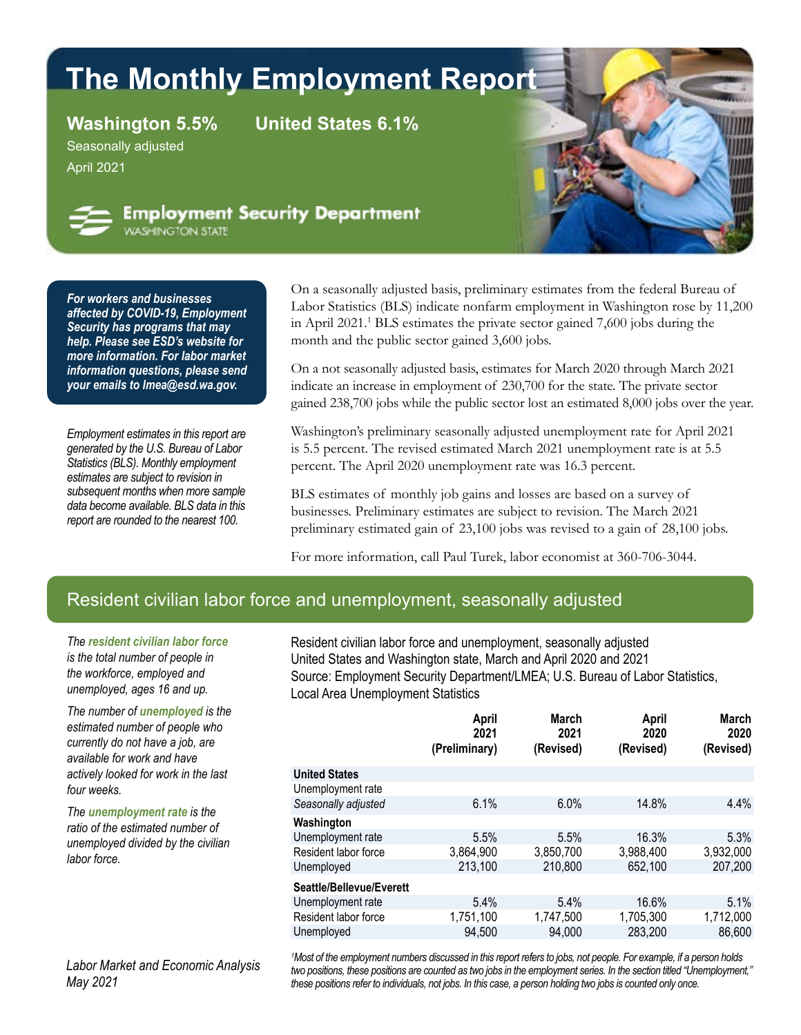# **The Monthly Employment Report**

**Washington 5.5% United States 6.1%**

Seasonally adjusted April 2021



**Employment Security Department VASHINGTON STATE** 

*For workers and businesses affected by [COVID-19,](https://esd.wa.gov/newsroom/covid-19) Employment Security has programs that may help. Please see [ESD's website](https://esd.wa.gov/newsroom/covid-19) for more information. For labor market information questions, please send your emails to [lmea@esd.wa.gov](mailto:lmea%40esd.wa.gov?subject=lmea%40esd.wa.gov).*

*Employment estimates in this report are generated by the U.S. Bureau of Labor Statistics (BLS). Monthly employment estimates are subject to revision in subsequent months when more sample data become available. BLS data in this report are rounded to the nearest 100.*

On a seasonally adjusted basis, preliminary estimates from the federal Bureau of Labor Statistics (BLS) indicate nonfarm employment in Washington rose by 11,200 in April 2021.1 BLS estimates the private sector gained 7,600 jobs during the month and the public sector gained 3,600 jobs.

On a not seasonally adjusted basis, estimates for March 2020 through March 2021 indicate an increase in employment of 230,700 for the state. The private sector gained 238,700 jobs while the public sector lost an estimated 8,000 jobs over the year.

Washington's preliminary seasonally adjusted unemployment rate for April 2021 is 5.5 percent. The revised estimated March 2021 unemployment rate is at 5.5 percent. The April 2020 unemployment rate was 16.3 percent.

BLS estimates of monthly job gains and losses are based on a survey of businesses. Preliminary estimates are subject to revision. The March 2021 preliminary estimated gain of 23,100 jobs was revised to a gain of 28,100 jobs.

For more information, call Paul Turek, labor economist at 360-706-3044.

#### Resident civilian labor force and unemployment, seasonally adjusted

*The resident civilian labor force is the total number of people in the workforce, employed and unemployed, ages 16 and up.*

*The number of unemployed is the estimated number of people who currently do not have a job, are available for work and have actively looked for work in the last four weeks.*

*The unemployment rate is the ratio of the estimated number of unemployed divided by the civilian labor force.*

*Labor Market and Economic Analysis May 2021*

Resident civilian labor force and unemployment, seasonally adjusted United States and Washington state, March and April 2020 and 2021 Source: Employment Security Department/LMEA; U.S. Bureau of Labor Statistics, Local Area Unemployment Statistics

|                          | April<br>2021<br>(Preliminary) | <b>March</b><br>2021<br>(Revised) | <b>April</b><br>2020<br>(Revised) | <b>March</b><br>2020<br>(Revised) |
|--------------------------|--------------------------------|-----------------------------------|-----------------------------------|-----------------------------------|
| <b>United States</b>     |                                |                                   |                                   |                                   |
| Unemployment rate        |                                |                                   |                                   |                                   |
| Seasonally adjusted      | 6.1%                           | 6.0%                              | 14.8%                             | $4.4\%$                           |
| Washington               |                                |                                   |                                   |                                   |
| Unemployment rate        | 5.5%                           | 5.5%                              | 16.3%                             | 5.3%                              |
| Resident labor force     | 3,864,900                      | 3,850,700                         | 3,988,400                         | 3,932,000                         |
| Unemployed               | 213,100                        | 210,800                           | 652,100                           | 207,200                           |
| Seattle/Bellevue/Everett |                                |                                   |                                   |                                   |
| Unemployment rate        | 5.4%                           | 5.4%                              | 16.6%                             | 5.1%                              |
| Resident labor force     | 1,751,100                      | 1,747,500                         | 1,705,300                         | 1,712,000                         |
| Unemployed               | 94,500                         | 94,000                            | 283,200                           | 86,600                            |
|                          |                                |                                   |                                   |                                   |

*1 Most of the employment numbers discussed in this report refers to jobs, not people. For example, if a person holds two positions, these positions are counted as two jobs in the employment series. In the section titled "Unemployment," these positions refer to individuals, not jobs. In this case, a person holding two jobs is counted only once.*

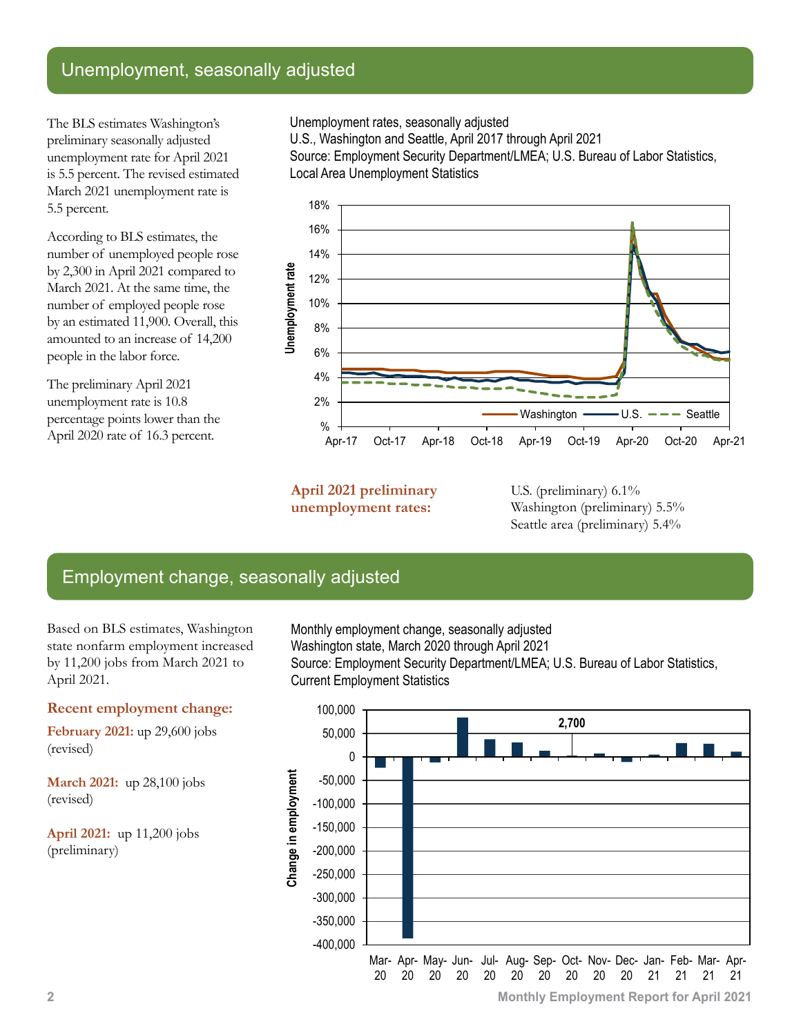## Unemployment, seasonally adjusted

The BLS estimates Washington's preliminary seasonally adjusted unemployment rate for April 2021 is 5.5 percent. The revised estimated March 2021 unemployment rate is 5.5 percent.

According to BLS estimates, the number of unemployed people rose by 2,300 in April 2021 compared to March 2021. At the same time, the number of employed people rose by an estimated 11,900. Overall, this amounted to an increase of 14,200 people in the labor force.

The preliminary April 2021 unemployment rate is 10.8 percentage points lower than the April 2020 rate of 16.3 percent.

Unemployment rates, seasonally adjusted

U.S., Washington and Seattle, April 2017 through April 2021

Source: Employment Security Department/LMEA; U.S. Bureau of Labor Statistics, Local Area Unemployment Statistics



**April 2021 preliminary unemployment rates:**

U.S. (preliminary)  $6.1\%$ Washington (preliminary) 5.5% Seattle area (preliminary) 5.4%

## Employment change, seasonally adjusted

Based on BLS estimates, Washington state nonfarm employment increased by 11,200 jobs from March 2021 to April 2021.

#### **Recent employment change:**

**February 2021:** up 29,600 jobs (revised)

**March 2021:** up 28,100 jobs (revised)

**April 2021:** up 11,200 jobs (preliminary)

Monthly employment change, seasonally adjusted Washington state, March 2020 through April 2021 Source: Employment Security Department/LMEA; U.S. Bureau of Labor Statistics, Current Employment Statistics

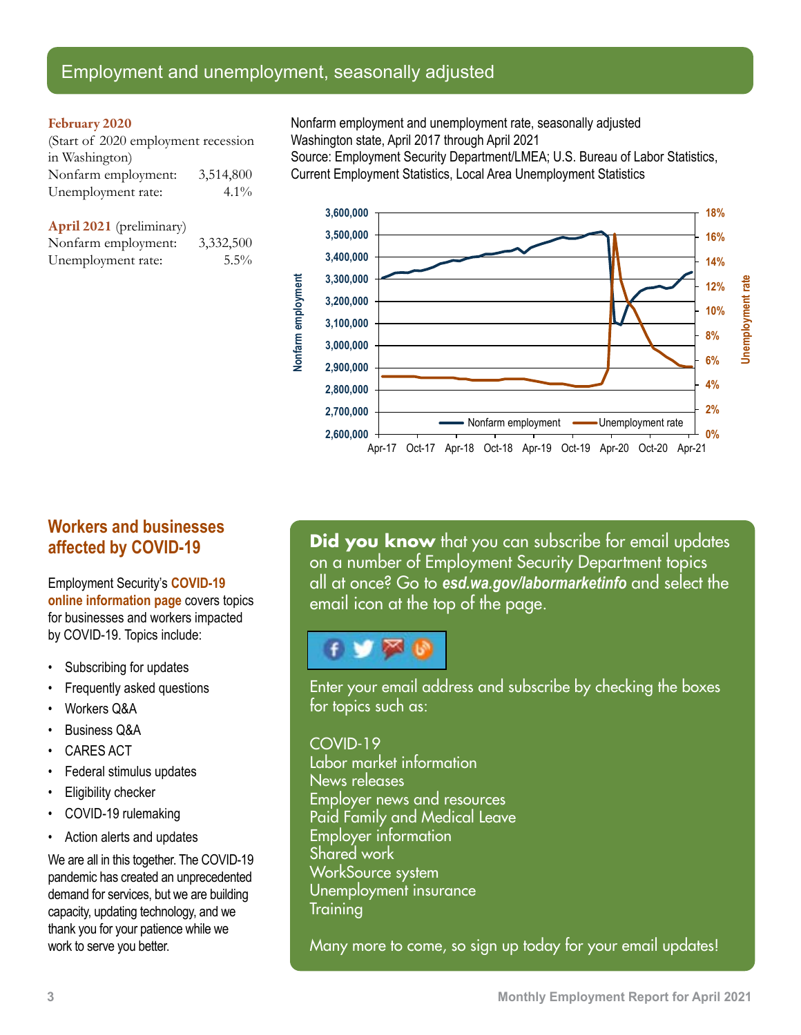## Employment and unemployment, seasonally adjusted

 $5.5%$ 

#### February 2020

| (Start of 2020 employment recession |           |  |
|-------------------------------------|-----------|--|
| in Washington)                      |           |  |
| Nonfarm employment:                 | 3,514,800 |  |
| Unemployment rate:                  | $4.1\%$   |  |

**April** 2021 (preliminary) Nonfarm employment: 3,332,500

|                    | - , - - |
|--------------------|---------|
| Unemployment rate: |         |

Nonfarm employment and unemployment rate, seasonally adjusted Washington state, April 2017 through April 2021 Source: Employment Security Department/LMEA; U.S. Bureau of Labor Statistics, Current Employment Statistics, Local Area Unemployment Statistics



## **Workers and businesses affected by COVID-19**

Employment Security's **[COVID-19](https://esd.wa.gov/newsroom/covid-19)  [online information page](https://esd.wa.gov/newsroom/covid-19)** covers topics for businesses and workers impacted by COVID-19. Topics include:

- Subscribing for updates
- Frequently asked questions
- Workers Q&A
- Business Q&A
- CARES ACT
- Federal stimulus updates
- Eligibility checker
- COVID-19 rulemaking
- Action alerts and updates

We are all in this together. The COVID-19 pandemic has created an unprecedented demand for services, but we are building capacity, updating technology, and we thank you for your patience while we work to serve you better.

**Did you know** that you can subscribe for email updates on a number of Employment Security Department topics all at once? Go to *[esd.wa.gov/labormarketinfo](http://esd.wa.gov/labormarketinfo)* and select the email icon at the top of the page.

## ×

Enter your email address and subscribe by checking the boxes for topics such as:

#### COVID-19

Labor market information News releases Employer news and resources Paid Family and Medical Leave Employer information Shared work WorkSource system Unemployment insurance **Training** 

Many more to come, so sign up today for your email updates!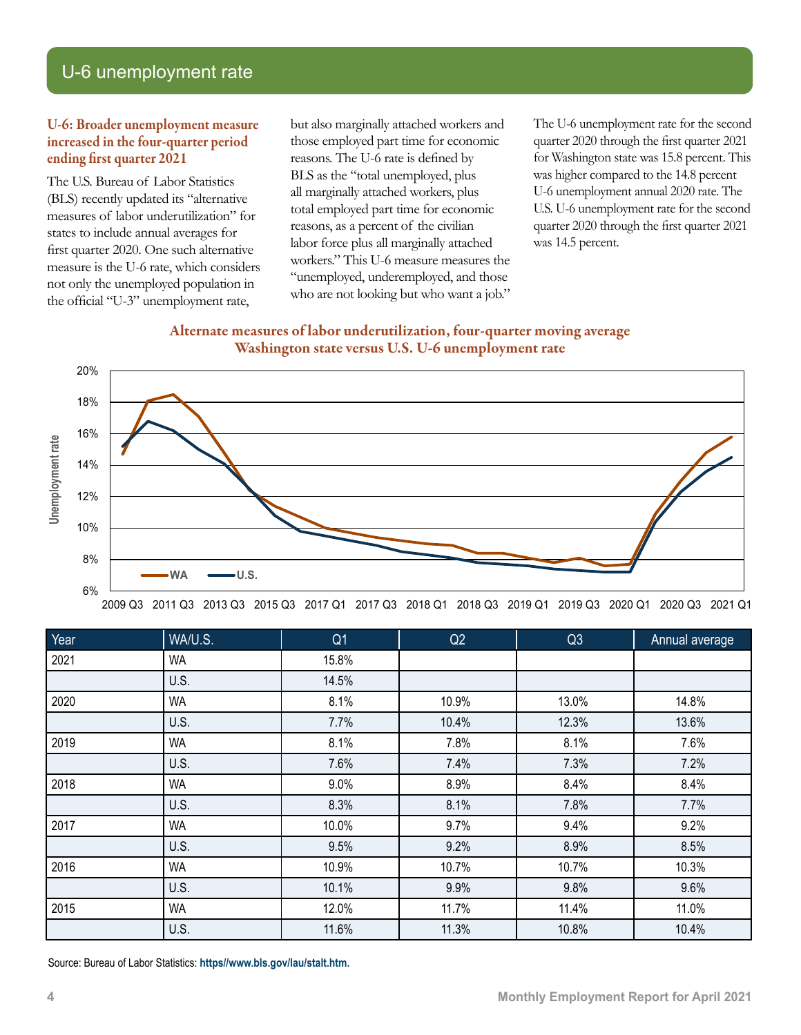## U-6 unemployment rate

#### U-6: Broader unemployment measure increased in the four-quarter period ending first quarter 2021

The U.S. Bureau of Labor Statistics (BLS) recently updated its "alternative measures of labor underutilization" for states to include annual averages for first quarter 2020. One such alternative measure is the U-6 rate, which considers not only the unemployed population in the official "U-3" unemployment rate,

but also marginally attached workers and those employed part time for economic reasons. The U-6 rate is defined by BLS as the "total unemployed, plus all marginally attached workers, plus total employed part time for economic reasons, as a percent of the civilian labor force plus all marginally attached workers." This U-6 measure measures the "unemployed, underemployed, and those who are not looking but who want a job."

The U-6 unemployment rate for the second quarter 2020 through the first quarter 2021 for Washington state was 15.8 percent. This was higher compared to the 14.8 percent U-6 unemployment annual 2020 rate. The U.S. U-6 unemployment rate for the second quarter 2020 through the first quarter 2021 was 14.5 percent.

#### Alternate measures of labor underutilization, four-quarter moving average Washington state versus U.S. U-6 unemployment rate



2009 Q3 2011 Q3 2013 Q3 2015 Q3 2017 Q1 2017 Q3 2018 Q1 2018 Q3 2019 Q1 2019 Q3 2020 Q1 2020 Q3 2021 Q1

| Year | WA/U.S.   | Q <sub>1</sub> | Q2    | Q3    | <b>Annual average</b> |
|------|-----------|----------------|-------|-------|-----------------------|
| 2021 | <b>WA</b> | 15.8%          |       |       |                       |
|      | U.S.      | 14.5%          |       |       |                       |
| 2020 | <b>WA</b> | 8.1%           | 10.9% | 13.0% | 14.8%                 |
|      | U.S.      | 7.7%           | 10.4% | 12.3% | 13.6%                 |
| 2019 | <b>WA</b> | 8.1%           | 7.8%  | 8.1%  | 7.6%                  |
|      | U.S.      | 7.6%           | 7.4%  | 7.3%  | 7.2%                  |
| 2018 | <b>WA</b> | 9.0%           | 8.9%  | 8.4%  | 8.4%                  |
|      | U.S.      | 8.3%           | 8.1%  | 7.8%  | 7.7%                  |
| 2017 | <b>WA</b> | 10.0%          | 9.7%  | 9.4%  | 9.2%                  |
|      | U.S.      | 9.5%           | 9.2%  | 8.9%  | 8.5%                  |
| 2016 | <b>WA</b> | 10.9%          | 10.7% | 10.7% | 10.3%                 |
|      | U.S.      | 10.1%          | 9.9%  | 9.8%  | 9.6%                  |
| 2015 | <b>WA</b> | 12.0%          | 11.7% | 11.4% | 11.0%                 |
|      | U.S.      | 11.6%          | 11.3% | 10.8% | 10.4%                 |

Source: Bureau of Labor Statistics: **[https//www.bls.gov/lau/stalt.htm](https://www.bls.gov/lau/stalt.htm).**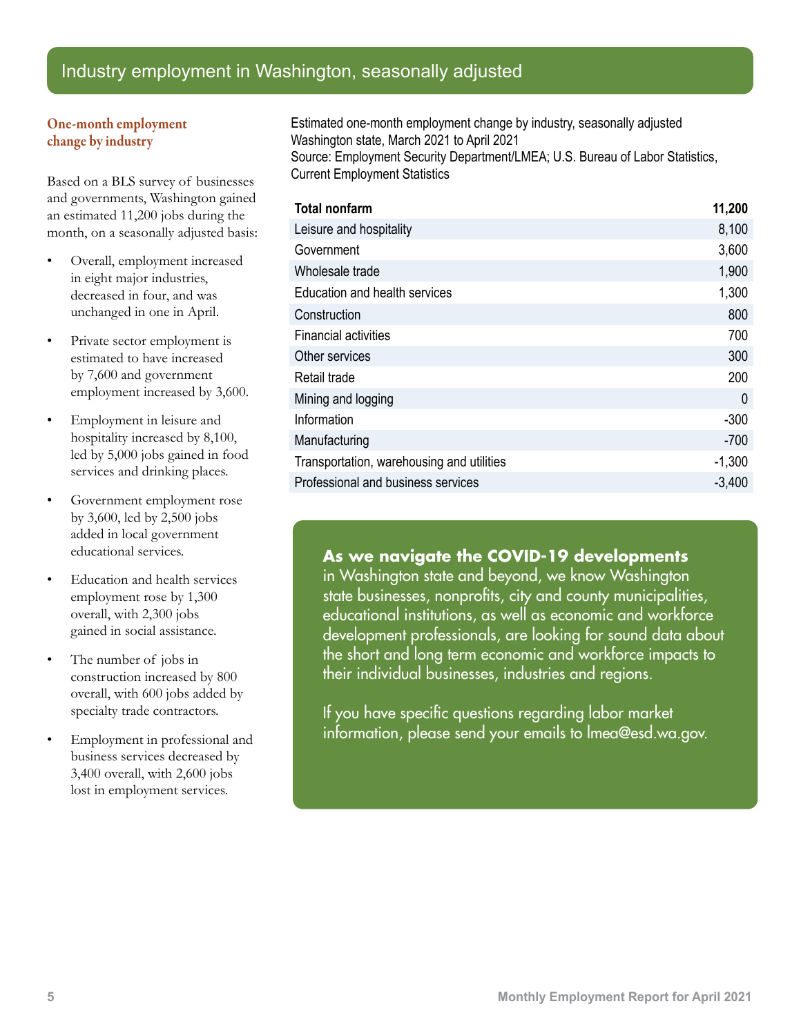## Industry employment in Washington, seasonally adjusted

#### One-month employment change by industry

Based on a BLS survey of businesses and governments, Washington gained an estimated 11,200 jobs during the month, on a seasonally adjusted basis:

- Overall, employment increased in eight major industries, decreased in four, and was unchanged in one in April.
- Private sector employment is estimated to have increased by 7,600 and government employment increased by 3,600.
- Employment in leisure and hospitality increased by 8,100, led by 5,000 jobs gained in food services and drinking places.
- Government employment rose by 3,600, led by 2,500 jobs added in local government educational services.
- Education and health services employment rose by 1,300 overall, with 2,300 jobs gained in social assistance.
- The number of jobs in construction increased by 800 overall, with 600 jobs added by specialty trade contractors.
- Employment in professional and business services decreased by 3,400 overall, with 2,600 jobs lost in employment services.

Estimated one-month employment change by industry, seasonally adjusted Washington state, March 2021 to April 2021 Source: Employment Security Department/LMEA; U.S. Bureau of Labor Statistics, Current Employment Statistics

| <b>Total nonfarm</b>                      | 11,200   |
|-------------------------------------------|----------|
| Leisure and hospitality                   | 8,100    |
| Government                                | 3,600    |
| Wholesale trade                           | 1,900    |
| Education and health services             | 1,300    |
| Construction                              | 800      |
| <b>Financial activities</b>               | 700      |
| Other services                            | 300      |
| Retail trade                              | 200      |
| Mining and logging                        | $\Omega$ |
| Information                               | $-300$   |
| Manufacturing                             | $-700$   |
| Transportation, warehousing and utilities | $-1,300$ |
| Professional and business services        | $-3,400$ |

#### **As we navigate the COVID-19 developments**

in Washington state and beyond, we know Washington state businesses, nonprofits, city and county municipalities, educational institutions, as well as economic and workforce development professionals, are looking for sound data about the short and long term economic and workforce impacts to their individual businesses, industries and regions.

If you have specific questions regarding labor market information, please send your emails t[o lmea@esd.wa.gov.](mailto:lmea%40esd.wa.gov?subject=lmea%40esd.wa.gov)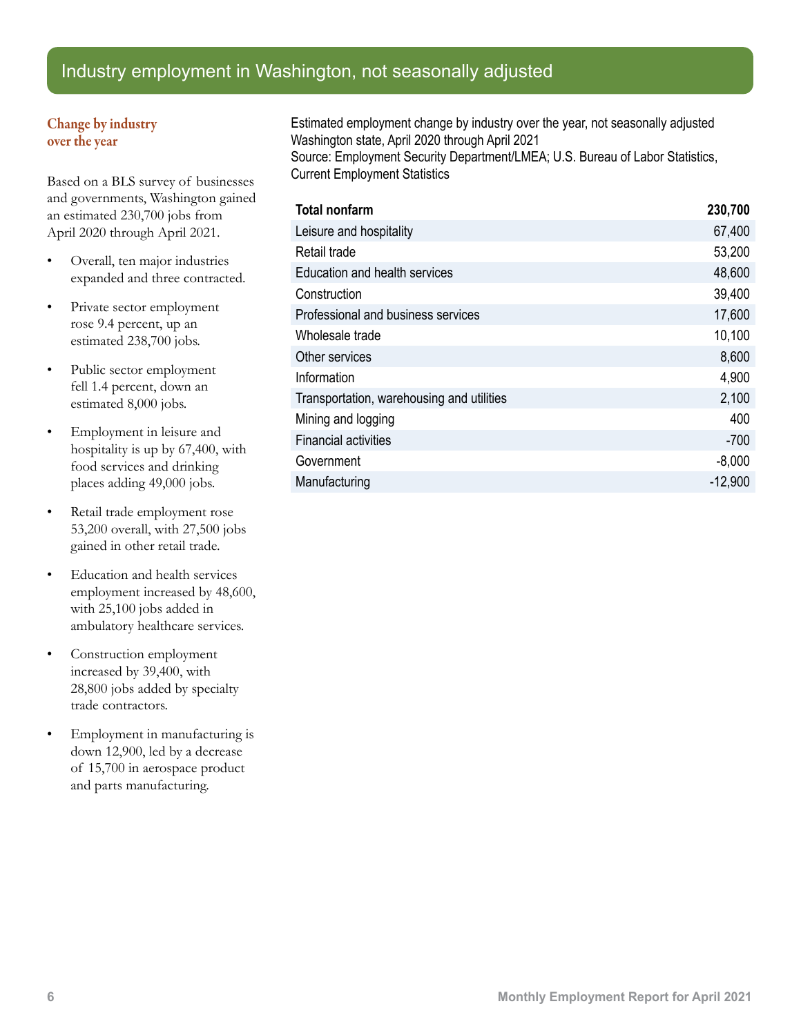## Industry employment in Washington, not seasonally adjusted

#### Change by industry over the year

Based on a BLS survey of businesses and governments, Washington gained an estimated 230,700 jobs from April 2020 through April 2021.

- Overall, ten major industries expanded and three contracted.
- Private sector employment rose 9.4 percent, up an estimated 238,700 jobs.
- Public sector employment fell 1.4 percent, down an estimated 8,000 jobs.
- Employment in leisure and hospitality is up by 67,400, with food services and drinking places adding 49,000 jobs.
- Retail trade employment rose 53,200 overall, with 27,500 jobs gained in other retail trade.
- Education and health services employment increased by 48,600, with 25,100 jobs added in ambulatory healthcare services.
- Construction employment increased by 39,400, with 28,800 jobs added by specialty trade contractors.
- Employment in manufacturing is down 12,900, led by a decrease of 15,700 in aerospace product and parts manufacturing.

Estimated employment change by industry over the year, not seasonally adjusted Washington state, April 2020 through April 2021 Source: Employment Security Department/LMEA; U.S. Bureau of Labor Statistics, Current Employment Statistics

| <b>Total nonfarm</b>                      | 230,700   |
|-------------------------------------------|-----------|
| Leisure and hospitality                   | 67,400    |
| Retail trade                              | 53,200    |
| Education and health services             | 48,600    |
| Construction                              | 39,400    |
| Professional and business services        | 17,600    |
| Wholesale trade                           | 10,100    |
| Other services                            | 8,600     |
| Information                               | 4,900     |
| Transportation, warehousing and utilities | 2,100     |
| Mining and logging                        | 400       |
| <b>Financial activities</b>               | $-700$    |
| Government                                | $-8,000$  |
| Manufacturing                             | $-12,900$ |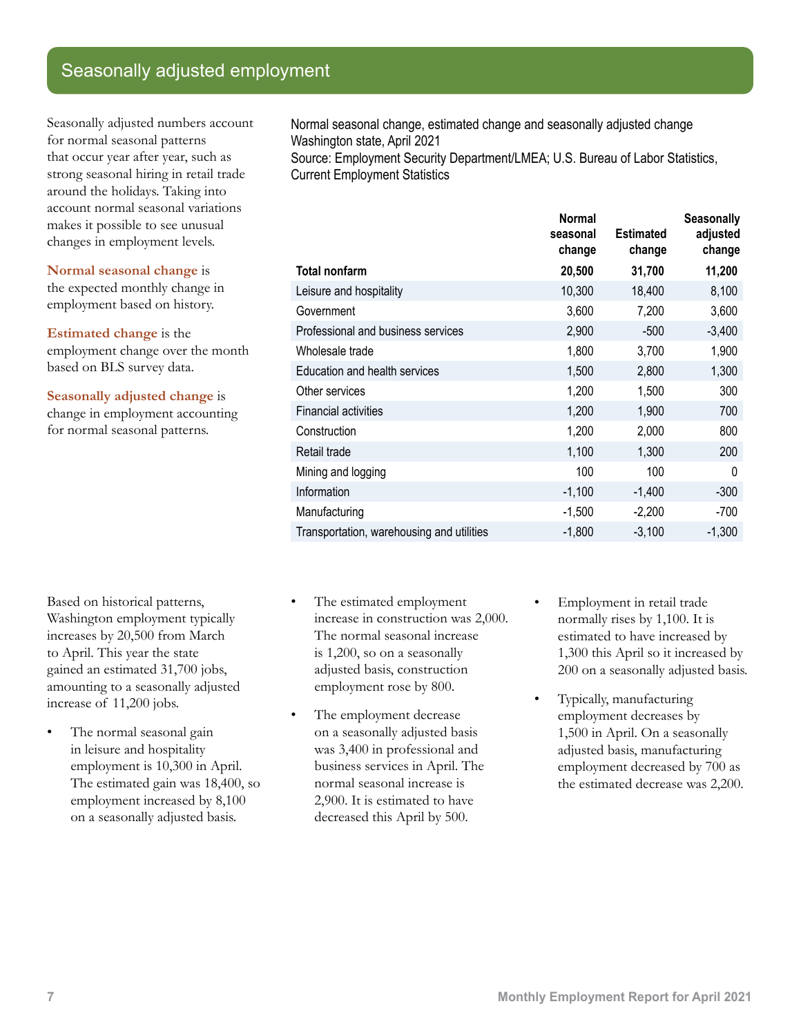## Seasonally adjusted employment

Seasonally adjusted numbers account for normal seasonal patterns that occur year after year, such as strong seasonal hiring in retail trade around the holidays. Taking into account normal seasonal variations makes it possible to see unusual changes in employment levels.

**Normal seasonal change** is the expected monthly change in employment based on history.

**Estimated change** is the employment change over the month based on BLS survey data.

**Seasonally adjusted change** is change in employment accounting for normal seasonal patterns.

Normal seasonal change, estimated change and seasonally adjusted change Washington state, April 2021 Source: Employment Security Department/LMEA; U.S. Bureau of Labor Statistics, Current Employment Statistics

**Normal seasonal change Estimated change Seasonally adjusted change Total nonfarm 20,500 31,700 11,200** Leisure and hospitality 10,300 18,400 8,100 Government 3,600 7,200 3,600 Professional and business services 2,900 -500 -3,400 Wholesale trade 1,800 3,700 1,900 Education and health services 1,500 2,800 1,300 Other services 1,200 1,500 300 Financial activities 1,200 1,900 700 Construction 1,200 2,000 800 Retail trade 1,100 1,300 200 Mining and logging 100 100 0 Information -1,100 -1,400 -300 Manufacturing -1,500 -2,200 -700 Transportation, warehousing and utilities -1,800 -3,100 -1,300

Based on historical patterns, Washington employment typically increases by 20,500 from March to April. This year the state gained an estimated 31,700 jobs, amounting to a seasonally adjusted increase of 11,200 jobs.

- The normal seasonal gain in leisure and hospitality employment is 10,300 in April. The estimated gain was 18,400, so employment increased by 8,100 on a seasonally adjusted basis.
- The estimated employment increase in construction was 2,000. The normal seasonal increase is 1,200, so on a seasonally adjusted basis, construction employment rose by 800.
- The employment decrease on a seasonally adjusted basis was 3,400 in professional and business services in April. The normal seasonal increase is 2,900. It is estimated to have decreased this April by 500.
- Employment in retail trade normally rises by 1,100. It is estimated to have increased by 1,300 this April so it increased by 200 on a seasonally adjusted basis.
- Typically, manufacturing employment decreases by 1,500 in April. On a seasonally adjusted basis, manufacturing employment decreased by 700 as the estimated decrease was 2,200.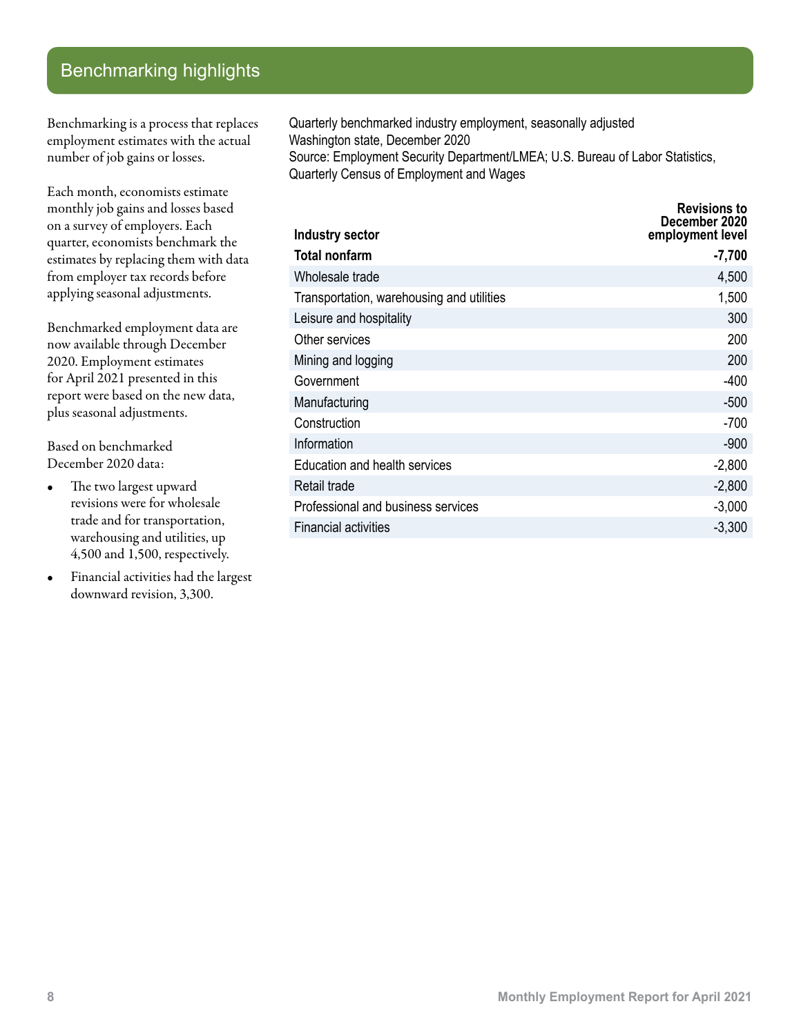## Benchmarking highlights

Benchmarking is a process that replaces employment estimates with the actual number of job gains or losses.

Each month, economists estimate monthly job gains and losses based on a survey of employers. Each quarter, economists benchmark the estimates by replacing them with data from employer tax records before applying seasonal adjustments.

Benchmarked employment data are now available through December 2020. Employment estimates for April 2021 presented in this report were based on the new data, plus seasonal adjustments.

Based on benchmarked December 2020 data:

- The two largest upward revisions were for wholesale trade and for transportation, warehousing and utilities, up 4,500 and 1,500, respectively.
- Financial activities had the largest downward revision, 3,300.

Quarterly benchmarked industry employment, seasonally adjusted Washington state, December 2020 Source: Employment Security Department/LMEA; U.S. Bureau of Labor Statistics, Quarterly Census of Employment and Wages

| Industry sector                           | <b>Revisions to</b><br>December 2020<br>employment level |
|-------------------------------------------|----------------------------------------------------------|
| <b>Total nonfarm</b>                      | $-7,700$                                                 |
| Wholesale trade                           | 4,500                                                    |
| Transportation, warehousing and utilities | 1,500                                                    |
| Leisure and hospitality                   | 300                                                      |
| Other services                            | 200                                                      |
| Mining and logging                        | 200                                                      |
| Government                                | $-400$                                                   |
| Manufacturing                             | $-500$                                                   |
| Construction                              | $-700$                                                   |
| Information                               | $-900$                                                   |
| Education and health services             | $-2,800$                                                 |
| Retail trade                              | $-2,800$                                                 |
| Professional and business services        | $-3,000$                                                 |
| <b>Financial activities</b>               | $-3,300$                                                 |